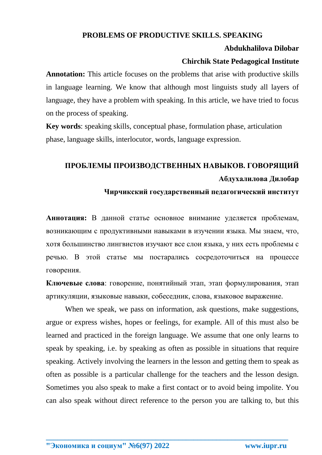# **PROBLEMS OF PRODUCTIVE SKILLS. SPEAKING**

### **Abdukhalilova Dilobar**

# **Chirchik State Pedagogical Institute**

**Annotation:** This article focuses on the problems that arise with productive skills in language learning. We know that although most linguists study all layers of language, they have a problem with speaking. In this article, we have tried to focus on the process of speaking.

**Key words**: speaking skills, conceptual phase, formulation phase, articulation phase, language skills, interlocutor, words, language expression.

# **ПРОБЛЕМЫ ПРОИЗВОДСТВЕННЫХ НАВЫКОВ. ГОВОРЯЩИЙ Абдухалилова Дилобар**

## **Чирчикский государственный педагогический институт**

**Аннотация:** В данной статье основное внимание уделяется проблемам, возникающим с продуктивными навыками в изучении языка. Мы знаем, что, хотя большинство лингвистов изучают все слои языка, у них есть проблемы с речью. В этой статье мы постарались сосредоточиться на процессе говорения.

**Ключевые слова**: говорение, понятийный этап, этап формулирования, этап артикуляции, языковые навыки, собеседник, слова, языковое выражение.

When we speak, we pass on information, ask questions, make suggestions, argue or express wishes, hopes or feelings, for example. All of this must also be learned and practiced in the foreign language. We assume that one only learns to speak by speaking, i.e. by speaking as often as possible in situations that require speaking. Actively involving the learners in the lesson and getting them to speak as often as possible is a particular challenge for the teachers and the lesson design. Sometimes you also speak to make a first contact or to avoid being impolite. You can also speak without direct reference to the person you are talking to, but this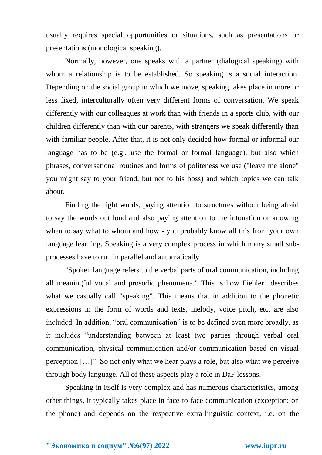usually requires special opportunities or situations, such as presentations or presentations (monological speaking).

Normally, however, one speaks with a partner (dialogical speaking) with whom a relationship is to be established. So speaking is a social interaction. Depending on the social group in which we move, speaking takes place in more or less fixed, interculturally often very different forms of conversation. We speak differently with our colleagues at work than with friends in a sports club, with our children differently than with our parents, with strangers we speak differently than with familiar people. After that, it is not only decided how formal or informal our language has to be (e.g., use the formal or formal language), but also which phrases, conversational routines and forms of politeness we use ("leave me alone" you might say to your friend, but not to his boss) and which topics we can talk about.

Finding the right words, paying attention to structures without being afraid to say the words out loud and also paying attention to the intonation or knowing when to say what to whom and how - you probably know all this from your own language learning. Speaking is a very complex process in which many small subprocesses have to run in parallel and automatically.

"Spoken language refers to the verbal parts of oral communication, including all meaningful vocal and prosodic phenomena." This is how Fiehler describes what we casually call "speaking". This means that in addition to the phonetic expressions in the form of words and texts, melody, voice pitch, etc. are also included. In addition, "oral communication" is to be defined even more broadly, as it includes "understanding between at least two parties through verbal oral communication, physical communication and/or communication based on visual perception […]". So not only what we hear plays a role, but also what we perceive through body language. All of these aspects play a role in DaF lessons.

Speaking in itself is very complex and has numerous characteristics, among other things, it typically takes place in face-to-face communication (exception: on the phone) and depends on the respective extra-linguistic context, i.e. on the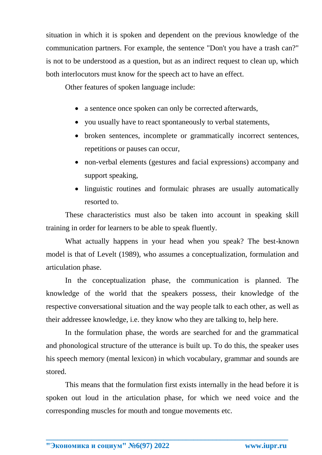situation in which it is spoken and dependent on the previous knowledge of the communication partners. For example, the sentence "Don't you have a trash can?" is not to be understood as a question, but as an indirect request to clean up, which both interlocutors must know for the speech act to have an effect.

Other features of spoken language include:

- a sentence once spoken can only be corrected afterwards,
- you usually have to react spontaneously to verbal statements,
- broken sentences, incomplete or grammatically incorrect sentences, repetitions or pauses can occur,
- non-verbal elements (gestures and facial expressions) accompany and support speaking,
- linguistic routines and formulaic phrases are usually automatically resorted to.

These characteristics must also be taken into account in speaking skill training in order for learners to be able to speak fluently.

What actually happens in your head when you speak? The best-known model is that of Levelt (1989), who assumes a conceptualization, formulation and articulation phase.

In the conceptualization phase, the communication is planned. The knowledge of the world that the speakers possess, their knowledge of the respective conversational situation and the way people talk to each other, as well as their addressee knowledge, i.e. they know who they are talking to, help here.

In the formulation phase, the words are searched for and the grammatical and phonological structure of the utterance is built up. To do this, the speaker uses his speech memory (mental lexicon) in which vocabulary, grammar and sounds are stored.

This means that the formulation first exists internally in the head before it is spoken out loud in the articulation phase, for which we need voice and the corresponding muscles for mouth and tongue movements etc.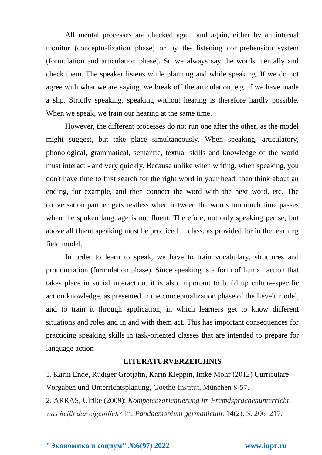All mental processes are checked again and again, either by an internal monitor (conceptualization phase) or by the listening comprehension system (formulation and articulation phase). So we always say the words mentally and check them. The speaker listens while planning and while speaking. If we do not agree with what we are saying, we break off the articulation, e.g. if we have made a slip. Strictly speaking, speaking without hearing is therefore hardly possible. When we speak, we train our hearing at the same time.

However, the different processes do not run one after the other, as the model might suggest, but take place simultaneously. When speaking, articulatory, phonological, grammatical, semantic, textual skills and knowledge of the world must interact - and very quickly. Because unlike when writing, when speaking, you don't have time to first search for the right word in your head, then think about an ending, for example, and then connect the word with the next word, etc. The conversation partner gets restless when between the words too much time passes when the spoken language is not fluent. Therefore, not only speaking per se, but above all fluent speaking must be practiced in class, as provided for in the learning field model.

In order to learn to speak, we have to train vocabulary, structures and pronunciation (formulation phase). Since speaking is a form of human action that takes place in social interaction, it is also important to build up culture-specific action knowledge, as presented in the conceptualization phase of the Levelt model, and to train it through application, in which learners get to know different situations and roles and in and with them act. This has important consequences for practicing speaking skills in task-oriented classes that are intended to prepare for language action

### **LITERATURVERZEICHNIS**

1. Karin Ende, Rüdiger Grotjahn, Karin Kleppin, Imke Mohr (2012) Curriculare Vorgaben und Unterrichtsplanung, Goethe-Institut, München 8-57.

2. ARRAS, Ulrike (2009): *Kompetenzorientierung im Fremdsprachenunterricht was heißt das eigentlich?* In: *Pandaemonium germanicum*. 14(2). S. 206–217.